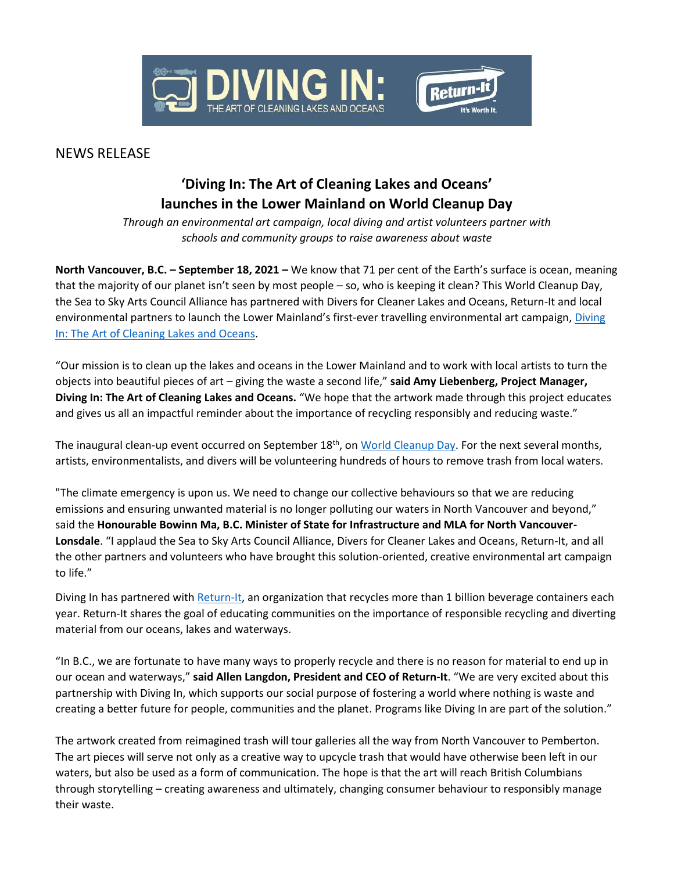

## NEWS RELEASE

# **'Diving In: The Art of Cleaning Lakes and Oceans' launches in the Lower Mainland on World Cleanup Day**

*Through an environmental art campaign, local diving and artist volunteers partner with schools and community groups to raise awareness about waste* 

**North Vancouver, B.C. – September 18, 2021 –** We know that 71 per cent of the Earth's surface is ocean, meaning that the majority of our planet isn't seen by most people – so, who is keeping it clean? This World Cleanup Day, the Sea to Sky Arts Council Alliance has partnered with Divers for Cleaner Lakes and Oceans, Return-It and local environmental partners to launch the Lower Mainland's first-ever travelling environmental art campaign, Diving In: The Art of Cleaning Lakes and Oceans.

"Our mission is to clean up the lakes and oceans in the Lower Mainland and to work with local artists to turn the objects into beautiful pieces of art – giving the waste a second life," **said Amy Liebenberg, Project Manager, Diving In: The Art of Cleaning Lakes and Oceans.** "We hope that the artwork made through this project educates and gives us all an impactful reminder about the importance of recycling responsibly and reducing waste."

The inaugural clean-up event occurred on September 18<sup>th</sup>, on World Cleanup Day. For the next several months, artists, environmentalists, and divers will be volunteering hundreds of hours to remove trash from local waters.

"The climate emergency is upon us. We need to change our collective behaviours so that we are reducing emissions and ensuring unwanted material is no longer polluting our waters in North Vancouver and beyond," said the **Honourable Bowinn Ma, B.C. Minister of State for Infrastructure and MLA for North Vancouver-Lonsdale**. "I applaud the Sea to Sky Arts Council Alliance, Divers for Cleaner Lakes and Oceans, Return-It, and all the other partners and volunteers who have brought this solution-oriented, creative environmental art campaign to life."

Diving In has partnered with Return-It, an organization that recycles more than 1 billion beverage containers each year. Return-It shares the goal of educating communities on the importance of responsible recycling and diverting material from our oceans, lakes and waterways.

"In B.C., we are fortunate to have many ways to properly recycle and there is no reason for material to end up in our ocean and waterways," **said Allen Langdon, President and CEO of Return-It**. "We are very excited about this partnership with Diving In, which supports our social purpose of fostering a world where nothing is waste and creating a better future for people, communities and the planet. Programs like Diving In are part of the solution."

The artwork created from reimagined trash will tour galleries all the way from North Vancouver to Pemberton. The art pieces will serve not only as a creative way to upcycle trash that would have otherwise been left in our waters, but also be used as a form of communication. The hope is that the art will reach British Columbians through storytelling – creating awareness and ultimately, changing consumer behaviour to responsibly manage their waste.